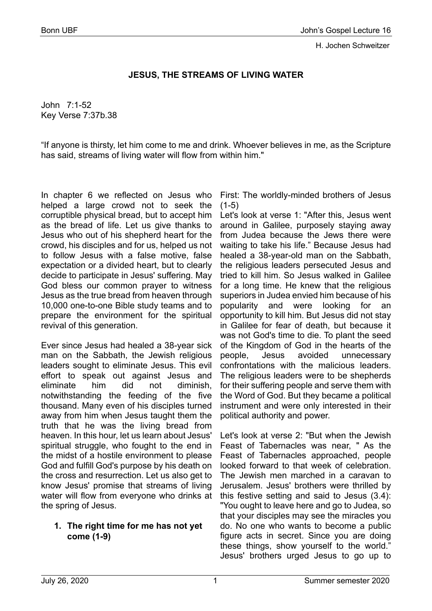H. Jochen Schweitzer

## **JESUS, THE STREAMS OF LIVING WATER**

John 7:1-52 Key Verse 7:37b.38

"If anyone is thirsty, let him come to me and drink. Whoever believes in me, as the Scripture has said, streams of living water will flow from within him."

In chapter 6 we reflected on Jesus who helped a large crowd not to seek the corruptible physical bread, but to accept him as the bread of life. Let us give thanks to Jesus who out of his shepherd heart for the crowd, his disciples and for us, helped us not to follow Jesus with a false motive, false expectation or a divided heart, but to clearly decide to participate in Jesus' suffering. May God bless our common prayer to witness Jesus as the true bread from heaven through 10,000 one-to-one Bible study teams and to prepare the environment for the spiritual revival of this generation.

Ever since Jesus had healed a 38-year sick man on the Sabbath, the Jewish religious leaders sought to eliminate Jesus. This evil effort to speak out against Jesus and eliminate him did not diminish, notwithstanding the feeding of the five thousand. Many even of his disciples turned away from him when Jesus taught them the truth that he was the living bread from heaven. In this hour, let us learn about Jesus' spiritual struggle, who fought to the end in the midst of a hostile environment to please God and fulfill God's purpose by his death on the cross and resurrection. Let us also get to know Jesus' promise that streams of living water will flow from everyone who drinks at the spring of Jesus.

## **1. The right time for me has not yet come (1-9)**

First: The worldly-minded brothers of Jesus (1-5)

Let's look at verse 1: "After this, Jesus went around in Galilee, purposely staying away from Judea because the Jews there were waiting to take his life." Because Jesus had healed a 38-year-old man on the Sabbath, the religious leaders persecuted Jesus and tried to kill him. So Jesus walked in Galilee for a long time. He knew that the religious superiors in Judea envied him because of his popularity and were looking for an opportunity to kill him. But Jesus did not stay in Galilee for fear of death, but because it was not God's time to die. To plant the seed of the Kingdom of God in the hearts of the people, Jesus avoided unnecessary confrontations with the malicious leaders. The religious leaders were to be shepherds for their suffering people and serve them with the Word of God. But they became a political instrument and were only interested in their political authority and power.

Let's look at verse 2: "But when the Jewish Feast of Tabernacles was near, " As the Feast of Tabernacles approached, people looked forward to that week of celebration. The Jewish men marched in a caravan to Jerusalem. Jesus' brothers were thrilled by this festive setting and said to Jesus (3.4): "You ought to leave here and go to Judea, so that your disciples may see the miracles you do. No one who wants to become a public figure acts in secret. Since you are doing these things, show yourself to the world." Jesus' brothers urged Jesus to go up to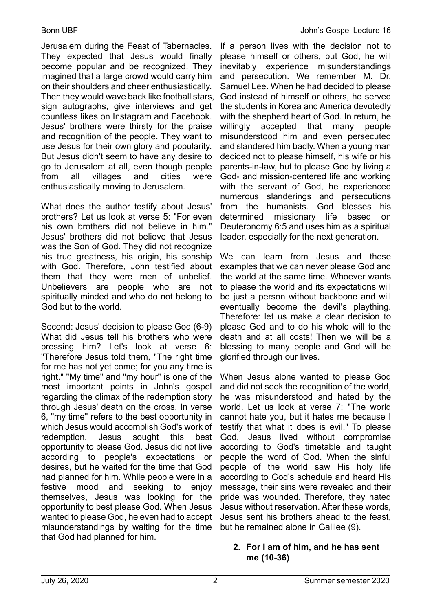Then they would wave back like football stars, sign autographs, give interviews and get countless likes on Instagram and Facebook. Jesus' brothers were thirsty for the praise and recognition of the people. They want to use Jesus for their own glory and popularity. But Jesus didn't seem to have any desire to go to Jerusalem at all, even though people from all villages and cities were enthusiastically moving to Jerusalem.

What does the author testify about Jesus' brothers? Let us look at verse 5: "For even his own brothers did not believe in him." Jesus' brothers did not believe that Jesus was the Son of God. They did not recognize his true greatness, his origin, his sonship with God. Therefore, John testified about them that they were men of unbelief. Unbelievers are people who are not spiritually minded and who do not belong to God but to the world.

Second: Jesus' decision to please God (6-9) What did Jesus tell his brothers who were pressing him? Let's look at verse 6: "Therefore Jesus told them, "The right time for me has not yet come; for you any time is right." "My time" and "my hour" is one of the most important points in John's gospel regarding the climax of the redemption story through Jesus' death on the cross. In verse 6, "my time" refers to the best opportunity in which Jesus would accomplish God's work of redemption. Jesus sought this best opportunity to please God. Jesus did not live according to people's expectations or desires, but he waited for the time that God had planned for him. While people were in a festive mood and seeking to enjoy themselves, Jesus was looking for the opportunity to best please God. When Jesus wanted to please God, he even had to accept misunderstandings by waiting for the time that God had planned for him.

If a person lives with the decision not to please himself or others, but God, he will inevitably experience misunderstandings and persecution. We remember M. Dr. Samuel Lee. When he had decided to please God instead of himself or others, he served the students in Korea and America devotedly with the shepherd heart of God. In return, he willingly accepted that many people misunderstood him and even persecuted and slandered him badly. When a young man decided not to please himself, his wife or his parents-in-law, but to please God by living a God- and mission-centered life and working with the servant of God, he experienced numerous slanderings and persecutions from the humanists. God blesses his determined missionary life based on Deuteronomy 6:5 and uses him as a spiritual leader, especially for the next generation.

We can learn from Jesus and these examples that we can never please God and the world at the same time. Whoever wants to please the world and its expectations will be just a person without backbone and will eventually become the devil's plaything. Therefore: let us make a clear decision to please God and to do his whole will to the death and at all costs! Then we will be a blessing to many people and God will be glorified through our lives.

When Jesus alone wanted to please God and did not seek the recognition of the world, he was misunderstood and hated by the world. Let us look at verse 7: "The world cannot hate you, but it hates me because I testify that what it does is evil." To please God, Jesus lived without compromise according to God's timetable and taught people the word of God. When the sinful people of the world saw His holy life according to God's schedule and heard His message, their sins were revealed and their pride was wounded. Therefore, they hated Jesus without reservation. After these words, Jesus sent his brothers ahead to the feast, but he remained alone in Galilee (9).

## **2. For I am of him, and he has sent me (10-36)**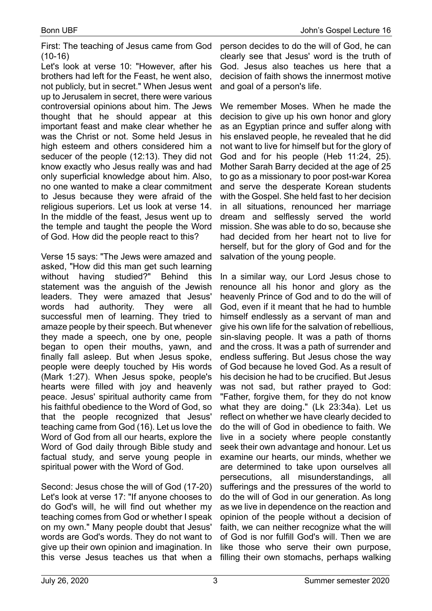First: The teaching of Jesus came from God (10-16)

Let's look at verse 10: "However, after his brothers had left for the Feast, he went also, not publicly, but in secret." When Jesus went up to Jerusalem in secret, there were various controversial opinions about him. The Jews thought that he should appear at this important feast and make clear whether he was the Christ or not. Some held Jesus in high esteem and others considered him a seducer of the people (12:13). They did not know exactly who Jesus really was and had only superficial knowledge about him. Also, no one wanted to make a clear commitment to Jesus because they were afraid of the religious superiors. Let us look at verse 14. In the middle of the feast, Jesus went up to the temple and taught the people the Word of God. How did the people react to this?

Verse 15 says: "The Jews were amazed and asked, "How did this man get such learning without having studied?" Behind this statement was the anguish of the Jewish leaders. They were amazed that Jesus' words had authority. They were all successful men of learning. They tried to amaze people by their speech. But whenever they made a speech, one by one, people began to open their mouths, yawn, and finally fall asleep. But when Jesus spoke, people were deeply touched by His words (Mark 1:27). When Jesus spoke, people's hearts were filled with joy and heavenly peace. Jesus' spiritual authority came from his faithful obedience to the Word of God, so that the people recognized that Jesus' teaching came from God (16). Let us love the Word of God from all our hearts, explore the Word of God daily through Bible study and factual study, and serve young people in spiritual power with the Word of God.

Second: Jesus chose the will of God (17-20) Let's look at verse 17: "If anyone chooses to do God's will, he will find out whether my teaching comes from God or whether I speak on my own." Many people doubt that Jesus' words are God's words. They do not want to give up their own opinion and imagination. In this verse Jesus teaches us that when a

person decides to do the will of God, he can clearly see that Jesus' word is the truth of God. Jesus also teaches us here that a decision of faith shows the innermost motive and goal of a person's life.

We remember Moses. When he made the decision to give up his own honor and glory as an Egyptian prince and suffer along with his enslaved people, he revealed that he did not want to live for himself but for the glory of God and for his people (Heb 11:24, 25). Mother Sarah Barry decided at the age of 25 to go as a missionary to poor post-war Korea and serve the desperate Korean students with the Gospel. She held fast to her decision in all situations, renounced her marriage dream and selflessly served the world mission. She was able to do so, because she had decided from her heart not to live for herself, but for the glory of God and for the salvation of the young people.

In a similar way, our Lord Jesus chose to renounce all his honor and glory as the heavenly Prince of God and to do the will of God, even if it meant that he had to humble himself endlessly as a servant of man and give his own life for the salvation of rebellious, sin-slaving people. It was a path of thorns and the cross. It was a path of surrender and endless suffering. But Jesus chose the way of God because he loved God. As a result of his decision he had to be crucified. But Jesus was not sad, but rather prayed to God: "Father, forgive them, for they do not know what they are doing." (Lk 23:34a). Let us reflect on whether we have clearly decided to do the will of God in obedience to faith. We live in a society where people constantly seek their own advantage and honour. Let us examine our hearts, our minds, whether we are determined to take upon ourselves all persecutions, all misunderstandings, all sufferings and the pressures of the world to do the will of God in our generation. As long as we live in dependence on the reaction and opinion of the people without a decision of faith, we can neither recognize what the will of God is nor fulfill God's will. Then we are like those who serve their own purpose, filling their own stomachs, perhaps walking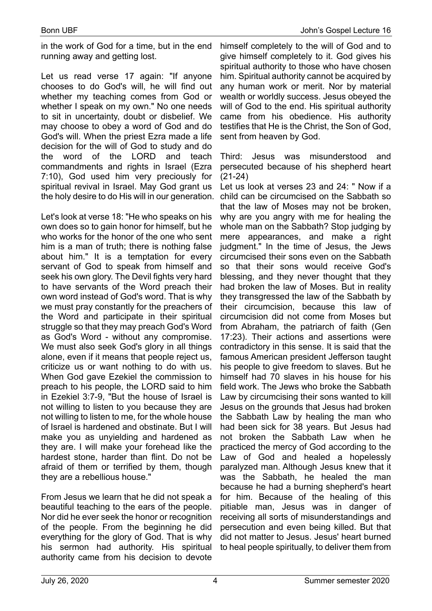in the work of God for a time, but in the end running away and getting lost.

Let us read verse 17 again: "If anyone chooses to do God's will, he will find out whether my teaching comes from God or whether I speak on my own." No one needs to sit in uncertainty, doubt or disbelief. We may choose to obey a word of God and do God's will. When the priest Ezra made a life decision for the will of God to study and do the word of the LORD and teach commandments and rights in Israel (Ezra 7:10), God used him very preciously for spiritual revival in Israel. May God grant us the holy desire to do His will in our generation.

Let's look at verse 18: "He who speaks on his own does so to gain honor for himself, but he who works for the honor of the one who sent him is a man of truth; there is nothing false about him." It is a temptation for every servant of God to speak from himself and seek his own glory. The Devil fights very hard to have servants of the Word preach their own word instead of God's word. That is why we must pray constantly for the preachers of the Word and participate in their spiritual struggle so that they may preach God's Word as God's Word - without any compromise. We must also seek God's glory in all things alone, even if it means that people reject us, criticize us or want nothing to do with us. When God gave Ezekiel the commission to preach to his people, the LORD said to him in Ezekiel 3:7-9, "But the house of Israel is not willing to listen to you because they are not willing to listen to me, for the whole house of Israel is hardened and obstinate. But I will make you as unyielding and hardened as they are. I will make your forehead like the hardest stone, harder than flint. Do not be afraid of them or terrified by them, though they are a rebellious house."

From Jesus we learn that he did not speak a beautiful teaching to the ears of the people. Nor did he ever seek the honor or recognition of the people. From the beginning he did everything for the glory of God. That is why his sermon had authority. His spiritual authority came from his decision to devote

himself completely to the will of God and to give himself completely to it. God gives his spiritual authority to those who have chosen him. Spiritual authority cannot be acquired by any human work or merit. Nor by material wealth or worldly success. Jesus obeyed the will of God to the end. His spiritual authority came from his obedience. His authority testifies that He is the Christ, the Son of God, sent from heaven by God.

Third: Jesus was misunderstood and persecuted because of his shepherd heart (21-24)

Let us look at verses 23 and 24: " Now if a child can be circumcised on the Sabbath so that the law of Moses may not be broken, why are you angry with me for healing the whole man on the Sabbath? Stop judging by mere appearances, and make a right judgment." In the time of Jesus, the Jews circumcised their sons even on the Sabbath so that their sons would receive God's blessing, and they never thought that they had broken the law of Moses. But in reality they transgressed the law of the Sabbath by their circumcision, because this law of circumcision did not come from Moses but from Abraham, the patriarch of faith (Gen 17:23). Their actions and assertions were contradictory in this sense. It is said that the famous American president Jefferson taught his people to give freedom to slaves. But he himself had 70 slaves in his house for his field work. The Jews who broke the Sabbath Law by circumcising their sons wanted to kill Jesus on the grounds that Jesus had broken the Sabbath Law by healing the man who had been sick for 38 years. But Jesus had not broken the Sabbath Law when he practiced the mercy of God according to the Law of God and healed a hopelessly paralyzed man. Although Jesus knew that it was the Sabbath, he healed the man because he had a burning shepherd's heart for him. Because of the healing of this pitiable man, Jesus was in danger of receiving all sorts of misunderstandings and persecution and even being killed. But that did not matter to Jesus. Jesus' heart burned to heal people spiritually, to deliver them from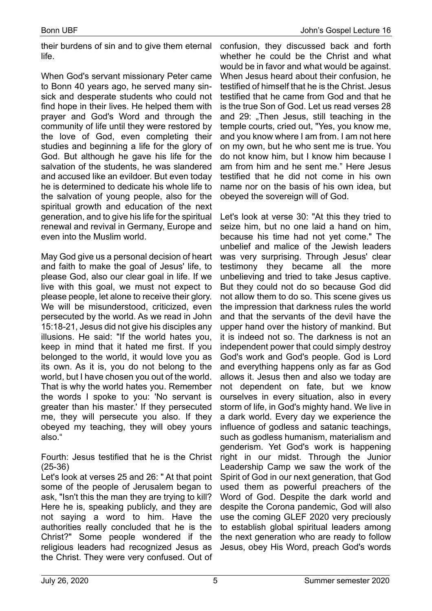their burdens of sin and to give them eternal life.

When God's servant missionary Peter came to Bonn 40 years ago, he served many sinsick and desperate students who could not find hope in their lives. He helped them with prayer and God's Word and through the community of life until they were restored by the love of God, even completing their studies and beginning a life for the glory of God. But although he gave his life for the salvation of the students, he was slandered and accused like an evildoer. But even today he is determined to dedicate his whole life to the salvation of young people, also for the spiritual growth and education of the next generation, and to give his life for the spiritual renewal and revival in Germany, Europe and even into the Muslim world.

May God give us a personal decision of heart and faith to make the goal of Jesus' life, to please God, also our clear goal in life. If we live with this goal, we must not expect to please people, let alone to receive their glory. We will be misunderstood, criticized, even persecuted by the world. As we read in John 15:18-21, Jesus did not give his disciples any illusions. He said: "If the world hates you, keep in mind that it hated me first. If you belonged to the world, it would love you as its own. As it is, you do not belong to the world, but I have chosen you out of the world. That is why the world hates you. Remember the words I spoke to you: 'No servant is greater than his master.' If they persecuted me, they will persecute you also. If they obeyed my teaching, they will obey yours also."

Fourth: Jesus testified that he is the Christ (25-36)

Let's look at verses 25 and 26: " At that point some of the people of Jerusalem began to ask, "Isn't this the man they are trying to kill? Here he is, speaking publicly, and they are not saying a word to him. Have the authorities really concluded that he is the Christ?" Some people wondered if the religious leaders had recognized Jesus as the Christ. They were very confused. Out of

confusion, they discussed back and forth whether he could be the Christ and what would be in favor and what would be against. When Jesus heard about their confusion, he testified of himself that he is the Christ. Jesus testified that he came from God and that he is the true Son of God. Let us read verses 28 and 29: "Then Jesus, still teaching in the temple courts, cried out, "Yes, you know me, and you know where I am from. I am not here on my own, but he who sent me is true. You do not know him, but I know him because I am from him and he sent me." Here Jesus testified that he did not come in his own name nor on the basis of his own idea, but obeyed the sovereign will of God.

Let's look at verse 30: "At this they tried to seize him, but no one laid a hand on him, because his time had not yet come." The unbelief and malice of the Jewish leaders was very surprising. Through Jesus' clear testimony they became all the more unbelieving and tried to take Jesus captive. But they could not do so because God did not allow them to do so. This scene gives us the impression that darkness rules the world and that the servants of the devil have the upper hand over the history of mankind. But it is indeed not so. The darkness is not an independent power that could simply destroy God's work and God's people. God is Lord and everything happens only as far as God allows it. Jesus then and also we today are not dependent on fate, but we know ourselves in every situation, also in every storm of life, in God's mighty hand. We live in a dark world. Every day we experience the influence of godless and satanic teachings, such as godless humanism, materialism and genderism. Yet God's work is happening right in our midst. Through the Junior Leadership Camp we saw the work of the Spirit of God in our next generation, that God used them as powerful preachers of the Word of God. Despite the dark world and despite the Corona pandemic, God will also use the coming GLEF 2020 very preciously to establish global spiritual leaders among the next generation who are ready to follow Jesus, obey His Word, preach God's words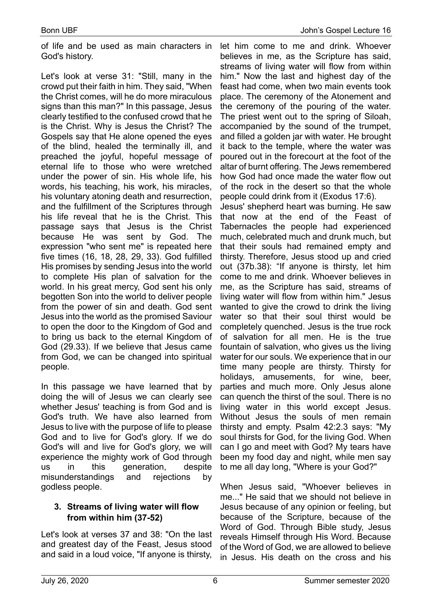Let's look at verse 31: "Still, many in the crowd put their faith in him. They said, "When the Christ comes, will he do more miraculous signs than this man?" In this passage, Jesus clearly testified to the confused crowd that he is the Christ. Why is Jesus the Christ? The Gospels say that He alone opened the eyes of the blind, healed the terminally ill, and preached the joyful, hopeful message of eternal life to those who were wretched under the power of sin. His whole life, his words, his teaching, his work, his miracles, his voluntary atoning death and resurrection, and the fulfillment of the Scriptures through his life reveal that he is the Christ. This passage says that Jesus is the Christ because He was sent by God. The expression "who sent me" is repeated here five times (16, 18, 28, 29, 33). God fulfilled His promises by sending Jesus into the world to complete His plan of salvation for the world. In his great mercy, God sent his only begotten Son into the world to deliver people from the power of sin and death. God sent Jesus into the world as the promised Saviour to open the door to the Kingdom of God and to bring us back to the eternal Kingdom of God (29.33). If we believe that Jesus came from God, we can be changed into spiritual people.

In this passage we have learned that by doing the will of Jesus we can clearly see whether Jesus' teaching is from God and is God's truth. We have also learned from Jesus to live with the purpose of life to please God and to live for God's glory. If we do God's will and live for God's glory, we will experience the mighty work of God through us in this generation, despite misunderstandings and rejections by godless people.

## **3. Streams of living water will flow from within him (37-52)**

Let's look at verses 37 and 38: "On the last and greatest day of the Feast, Jesus stood and said in a loud voice, "If anyone is thirsty,

let him come to me and drink. Whoever believes in me, as the Scripture has said, streams of living water will flow from within him." Now the last and highest day of the feast had come, when two main events took place. The ceremony of the Atonement and the ceremony of the pouring of the water. The priest went out to the spring of Siloah, accompanied by the sound of the trumpet, and filled a golden jar with water. He brought it back to the temple, where the water was poured out in the forecourt at the foot of the altar of burnt offering. The Jews remembered how God had once made the water flow out of the rock in the desert so that the whole people could drink from it (Exodus 17:6). Jesus' shepherd heart was burning. He saw that now at the end of the Feast of Tabernacles the people had experienced much, celebrated much and drunk much, but that their souls had remained empty and thirsty. Therefore, Jesus stood up and cried out (37b.38): "If anyone is thirsty, let him come to me and drink. Whoever believes in me, as the Scripture has said, streams of living water will flow from within him." Jesus wanted to give the crowd to drink the living water so that their soul thirst would be completely quenched. Jesus is the true rock of salvation for all men. He is the true fountain of salvation, who gives us the living water for our souls. We experience that in our time many people are thirsty. Thirsty for holidays, amusements, for wine, beer, parties and much more. Only Jesus alone can quench the thirst of the soul. There is no living water in this world except Jesus. Without Jesus the souls of men remain thirsty and empty. Psalm 42:2.3 says: "My soul thirsts for God, for the living God. When can I go and meet with God? My tears have been my food day and night, while men say to me all day long, "Where is your God?"

When Jesus said, "Whoever believes in me..." He said that we should not believe in Jesus because of any opinion or feeling, but because of the Scripture, because of the Word of God. Through Bible study, Jesus reveals Himself through His Word. Because of the Word of God, we are allowed to believe in Jesus. His death on the cross and his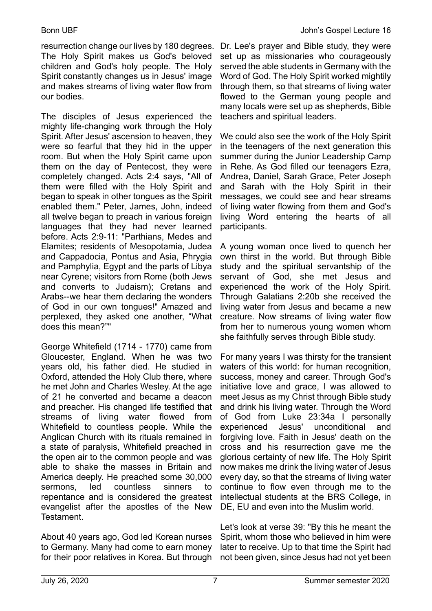resurrection change our lives by 180 degrees. The Holy Spirit makes us God's beloved children and God's holy people. The Holy Spirit constantly changes us in Jesus' image and makes streams of living water flow from our bodies.

The disciples of Jesus experienced the mighty life-changing work through the Holy Spirit. After Jesus' ascension to heaven, they were so fearful that they hid in the upper room. But when the Holy Spirit came upon them on the day of Pentecost, they were completely changed. Acts 2:4 says, "All of them were filled with the Holy Spirit and began to speak in other tongues as the Spirit enabled them." Peter, James, John, indeed all twelve began to preach in various foreign languages that they had never learned before. Acts 2:9-11: "Parthians, Medes and Elamites; residents of Mesopotamia, Judea and Cappadocia, Pontus and Asia, Phrygia and Pamphylia, Egypt and the parts of Libya near Cyrene; visitors from Rome (both Jews and converts to Judaism); Cretans and Arabs--we hear them declaring the wonders of God in our own tongues!" Amazed and perplexed, they asked one another, "What does this mean?""

George Whitefield (1714 - 1770) came from Gloucester, England. When he was two years old, his father died. He studied in Oxford, attended the Holy Club there, where he met John and Charles Wesley. At the age of 21 he converted and became a deacon and preacher. His changed life testified that streams of living water flowed from Whitefield to countless people. While the Anglican Church with its rituals remained in a state of paralysis, Whitefield preached in the open air to the common people and was able to shake the masses in Britain and America deeply. He preached some 30,000 sermons, led countless sinners to repentance and is considered the greatest evangelist after the apostles of the New Testament.

About 40 years ago, God led Korean nurses to Germany. Many had come to earn money for their poor relatives in Korea. But through

Dr. Lee's prayer and Bible study, they were set up as missionaries who courageously served the able students in Germany with the Word of God. The Holy Spirit worked mightily through them, so that streams of living water flowed to the German young people and many locals were set up as shepherds, Bible teachers and spiritual leaders.

We could also see the work of the Holy Spirit in the teenagers of the next generation this summer during the Junior Leadership Camp in Rehe. As God filled our teenagers Ezra, Andrea, Daniel, Sarah Grace, Peter Joseph and Sarah with the Holy Spirit in their messages, we could see and hear streams of living water flowing from them and God's living Word entering the hearts of all participants.

A young woman once lived to quench her own thirst in the world. But through Bible study and the spiritual servantship of the servant of God, she met Jesus and experienced the work of the Holy Spirit. Through Galatians 2:20b she received the living water from Jesus and became a new creature. Now streams of living water flow from her to numerous young women whom she faithfully serves through Bible study.

For many years I was thirsty for the transient waters of this world: for human recognition, success, money and career. Through God's initiative love and grace, I was allowed to meet Jesus as my Christ through Bible study and drink his living water. Through the Word of God from Luke 23:34a I personally experienced Jesus' unconditional and forgiving love. Faith in Jesus' death on the cross and his resurrection gave me the glorious certainty of new life. The Holy Spirit now makes me drink the living water of Jesus every day, so that the streams of living water continue to flow even through me to the intellectual students at the BRS College, in DE, EU and even into the Muslim world.

Let's look at verse 39: "By this he meant the Spirit, whom those who believed in him were later to receive. Up to that time the Spirit had not been given, since Jesus had not yet been